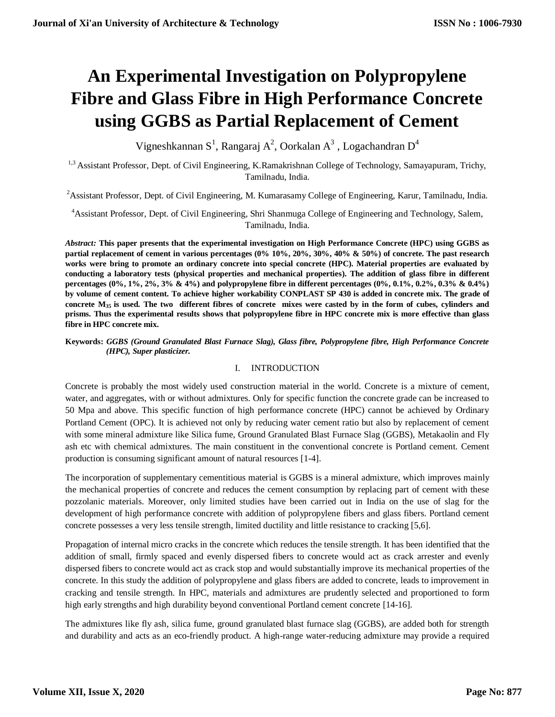# **An Experimental Investigation on Polypropylene Fibre and Glass Fibre in High Performance Concrete using GGBS as Partial Replacement of Cement**

Vigneshkannan S<sup>1</sup>, Rangaraj A<sup>2</sup>, Oorkalan A<sup>3</sup>, Logachandran D<sup>4</sup>

<sup>1,3</sup> Assistant Professor, Dept. of Civil Engineering, K.Ramakrishnan College of Technology, Samayapuram, Trichy, Tamilnadu, India.

<sup>2</sup> Assistant Professor, Dept. of Civil Engineering, M. Kumarasamy College of Engineering, Karur, Tamilnadu, India.

<sup>4</sup>Assistant Professor, Dept. of Civil Engineering, Shri Shanmuga College of Engineering and Technology, Salem, Tamilnadu, India.

*Abstract:* **This paper presents that the experimental investigation on High Performance Concrete (HPC) using GGBS as partial replacement of cement in various percentages (0% 10%, 20%, 30%, 40% & 50%) of concrete. The past research works were bring to promote an ordinary concrete into special concrete (HPC). Material properties are evaluated by conducting a laboratory tests (physical properties and mechanical properties). The addition of glass fibre in different percentages (0%, 1%, 2%, 3% & 4%) and polypropylene fibre in different percentages (0%, 0.1%, 0.2%, 0.3% & 0.4%) by volume of cement content. To achieve higher workability CONPLAST SP 430 is added in concrete mix. The grade of concrete M35 is used. The two different fibres of concrete mixes were casted by in the form of cubes, cylinders and prisms. Thus the experimental results shows that polypropylene fibre in HPC concrete mix is more effective than glass fibre in HPC concrete mix.** 

# **Keywords:** *GGBS (Ground Granulated Blast Furnace Slag), Glass fibre, Polypropylene fibre, High Performance Concrete (HPC), Super plasticizer.*

# I. INTRODUCTION

Concrete is probably the most widely used construction material in the world. Concrete is a mixture of cement, water, and aggregates, with or without admixtures. Only for specific function the concrete grade can be increased to 50 Mpa and above. This specific function of high performance concrete (HPC) cannot be achieved by Ordinary Portland Cement (OPC). It is achieved not only by reducing water cement ratio but also by replacement of cement with some mineral admixture like Silica fume, Ground Granulated Blast Furnace Slag (GGBS), Metakaolin and Fly ash etc with chemical admixtures. The main constituent in the conventional concrete is Portland cement. Cement production is consuming significant amount of natural resources [1-4].

The incorporation of supplementary cementitious material is GGBS is a mineral admixture, which improves mainly the mechanical properties of concrete and reduces the cement consumption by replacing part of cement with these pozzolanic materials. Moreover, only limited studies have been carried out in India on the use of slag for the development of high performance concrete with addition of polypropylene fibers and glass fibers. Portland cement concrete possesses a very less tensile strength, limited ductility and little resistance to cracking [5,6].

Propagation of internal micro cracks in the concrete which reduces the tensile strength. It has been identified that the addition of small, firmly spaced and evenly dispersed fibers to concrete would act as crack arrester and evenly dispersed fibers to concrete would act as crack stop and would substantially improve its mechanical properties of the concrete. In this study the addition of polypropylene and glass fibers are added to concrete, leads to improvement in cracking and tensile strength. In HPC, materials and admixtures are prudently selected and proportioned to form high early strengths and high durability beyond conventional Portland cement concrete [14-16].

The admixtures like fly ash, silica fume, ground granulated blast furnace slag (GGBS), are added both for strength and durability and acts as an eco-friendly product. A high-range water-reducing admixture may provide a required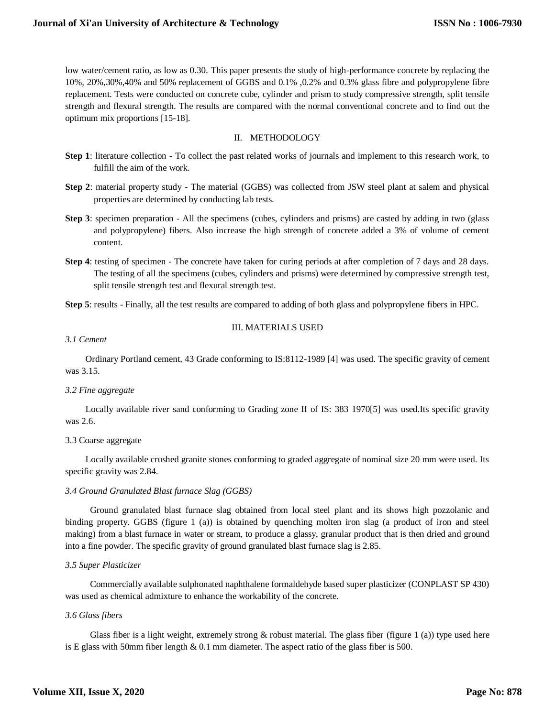low water/cement ratio, as low as 0.30. This paper presents the study of high-performance concrete by replacing the 10%, 20%,30%,40% and 50% replacement of GGBS and 0.1% ,0.2% and 0.3% glass fibre and polypropylene fibre replacement. Tests were conducted on concrete cube, cylinder and prism to study compressive strength, split tensile strength and flexural strength. The results are compared with the normal conventional concrete and to find out the optimum mix proportions [15-18].

#### II. METHODOLOGY

- **Step 1**: literature collection To collect the past related works of journals and implement to this research work, to fulfill the aim of the work.
- **Step 2**: material property study The material (GGBS) was collected from JSW steel plant at salem and physical properties are determined by conducting lab tests.
- **Step 3**: specimen preparation All the specimens (cubes, cylinders and prisms) are casted by adding in two (glass and polypropylene) fibers. Also increase the high strength of concrete added a 3% of volume of cement content.
- **Step 4**: testing of specimen The concrete have taken for curing periods at after completion of 7 days and 28 days. The testing of all the specimens (cubes, cylinders and prisms) were determined by compressive strength test, split tensile strength test and flexural strength test.

**Step 5**: results - Finally, all the test results are compared to adding of both glass and polypropylene fibers in HPC.

#### III. MATERIALS USED

#### *3.1 Cement*

 Ordinary Portland cement, 43 Grade conforming to IS:8112-1989 [4] was used. The specific gravity of cement was 3.15.

#### *3.2 Fine aggregate*

 Locally available river sand conforming to Grading zone II of IS: 383 1970[5] was used.Its specific gravity was 2.6.

#### 3.3 Coarse aggregate

 Locally available crushed granite stones conforming to graded aggregate of nominal size 20 mm were used. Its specific gravity was 2.84.

#### *3.4 Ground Granulated Blast furnace Slag (GGBS)*

 Ground granulated blast furnace slag obtained from local steel plant and its shows high pozzolanic and binding property. GGBS (figure 1 (a)) is obtained by quenching molten iron slag (a product of iron and steel making) from a blast furnace in water or stream, to produce a glassy, granular product that is then dried and ground into a fine powder. The specific gravity of ground granulated blast furnace slag is 2.85.

#### *3.5 Super Plasticizer*

 Commercially available sulphonated naphthalene formaldehyde based super plasticizer (CONPLAST SP 430) was used as chemical admixture to enhance the workability of the concrete.

#### *3.6 Glass fibers*

Glass fiber is a light weight, extremely strong  $\&$  robust material. The glass fiber (figure 1 (a)) type used here is E glass with 50mm fiber length  $& 0.1$  mm diameter. The aspect ratio of the glass fiber is 500.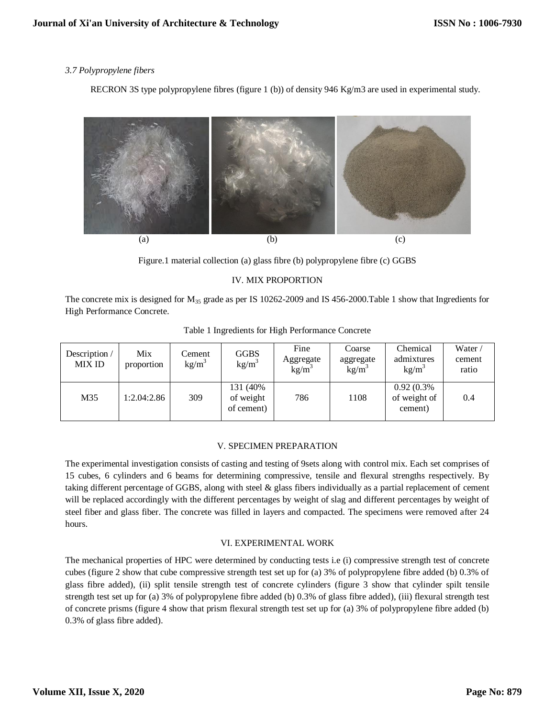# *3.7 Polypropylene fibers*

RECRON 3S type polypropylene fibres (figure 1 (b)) of density 946 Kg/m3 are used in experimental study.



Figure.1 material collection (a) glass fibre (b) polypropylene fibre (c) GGBS

# IV. MIX PROPORTION

The concrete mix is designed for  $M_{35}$  grade as per IS 10262-2009 and IS 456-2000. Table 1 show that Ingredients for High Performance Concrete.

| Description /<br><b>MIX ID</b> | Mix<br>proportion | Cement<br>$kg/m^3$ | <b>GGBS</b><br>kg/m <sup>3</sup>    | Fine<br>Aggregate<br>kg/m <sup>3</sup> | Coarse<br>aggregate<br>kg/m <sup>3</sup> | Chemical<br>admixtures<br>kg/m <sup>3</sup> | Water /<br>cement<br>ratio |
|--------------------------------|-------------------|--------------------|-------------------------------------|----------------------------------------|------------------------------------------|---------------------------------------------|----------------------------|
| M35                            | 1:2.04:2.86       | 309                | 131 (40%<br>of weight<br>of cement) | 786                                    | 1108                                     | 0.92(0.3%<br>of weight of<br>cement)        | 0.4                        |

Table 1 Ingredients for High Performance Concrete

#### V. SPECIMEN PREPARATION

The experimental investigation consists of casting and testing of 9sets along with control mix. Each set comprises of 15 cubes, 6 cylinders and 6 beams for determining compressive, tensile and flexural strengths respectively. By taking different percentage of GGBS, along with steel & glass fibers individually as a partial replacement of cement will be replaced accordingly with the different percentages by weight of slag and different percentages by weight of steel fiber and glass fiber. The concrete was filled in layers and compacted. The specimens were removed after 24 hours.

#### VI. EXPERIMENTAL WORK

The mechanical properties of HPC were determined by conducting tests i.e (i) compressive strength test of concrete cubes (figure 2 show that cube compressive strength test set up for (a) 3% of polypropylene fibre added (b) 0.3% of glass fibre added), (ii) split tensile strength test of concrete cylinders (figure 3 show that cylinder spilt tensile strength test set up for (a) 3% of polypropylene fibre added (b) 0.3% of glass fibre added), (iii) flexural strength test of concrete prisms (figure 4 show that prism flexural strength test set up for (a) 3% of polypropylene fibre added (b) 0.3% of glass fibre added).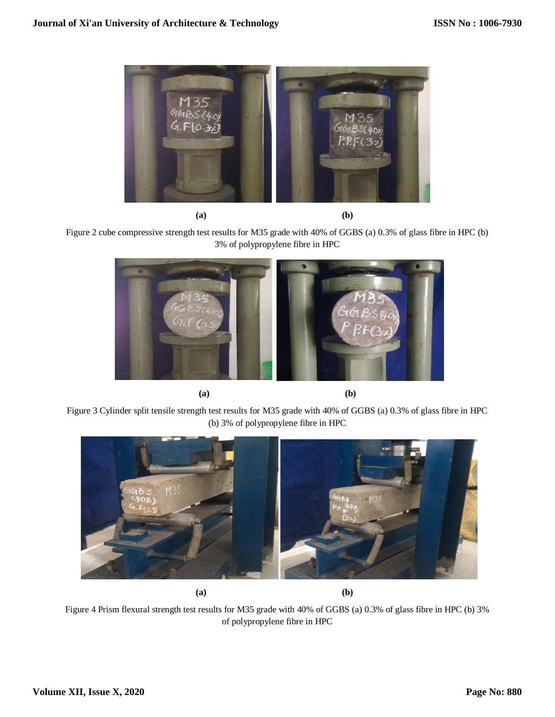

Figure 2 cube compressive strength test results for M35 grade with 40% of GGBS (a) 0.3% of glass fibre in HPC (b) 3% of polypropylene fibre in HPC



**(a) (b)**

Figure 3 Cylinder split tensile strength test results for M35 grade with 40% of GGBS (a) 0.3% of glass fibre in HPC (b) 3% of polypropylene fibre in HPC



**(a) (b)**

Figure 4 Prism flexural strength test results for M35 grade with 40% of GGBS (a) 0.3% of glass fibre in HPC (b) 3% of polypropylene fibre in HPC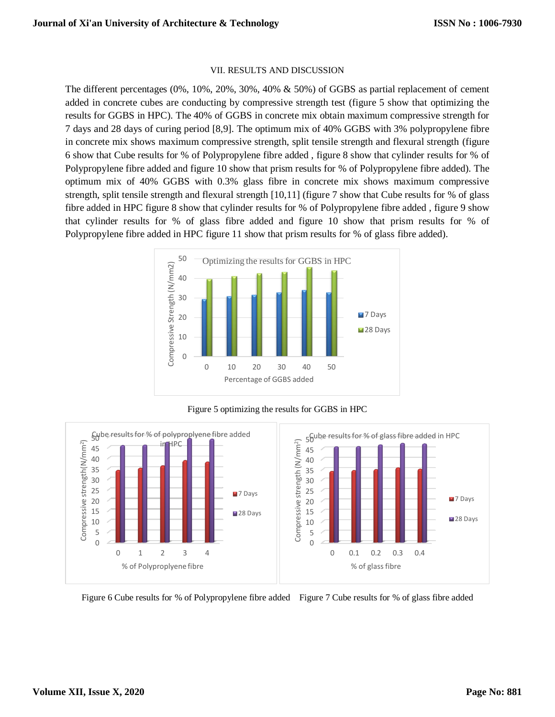#### VII. RESULTS AND DISCUSSION

The different percentages (0%, 10%, 20%, 30%, 40% & 50%) of GGBS as partial replacement of cement added in concrete cubes are conducting by compressive strength test (figure 5 show that optimizing the results for GGBS in HPC). The 40% of GGBS in concrete mix obtain maximum compressive strength for 7 days and 28 days of curing period [8,9]. The optimum mix of 40% GGBS with 3% polypropylene fibre in concrete mix shows maximum compressive strength, split tensile strength and flexural strength (figure 6 show that Cube results for % of Polypropylene fibre added , figure 8 show that cylinder results for % of Polypropylene fibre added and figure 10 show that prism results for % of Polypropylene fibre added). The optimum mix of 40% GGBS with 0.3% glass fibre in concrete mix shows maximum compressive strength, split tensile strength and flexural strength [10,11] (figure 7 show that Cube results for % of glass fibre added in HPC figure 8 show that cylinder results for % of Polypropylene fibre added , figure 9 show that cylinder results for % of glass fibre added and figure 10 show that prism results for % of Polypropylene fibre added in HPC figure 11 show that prism results for % of glass fibre added).



Figure 5 optimizing the results for GGBS in HPC



Figure 6 Cube results for % of Polypropylene fibre added Figure 7 Cube results for % of glass fibre added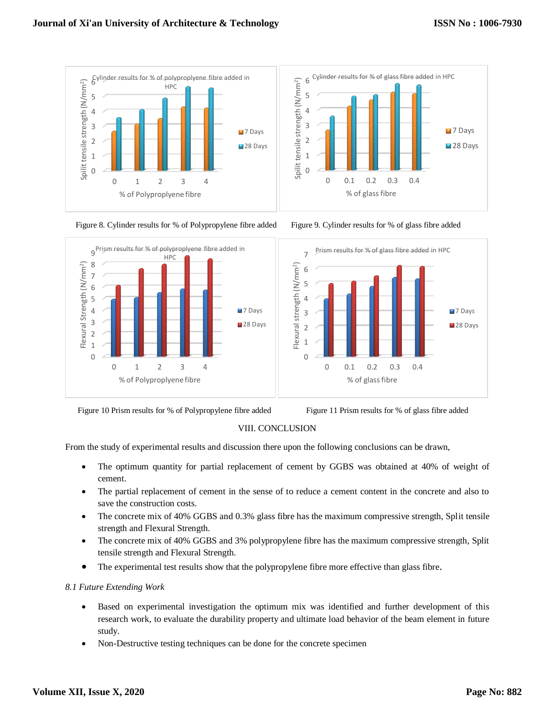







Figure 10 Prism results for % of Polypropylene fibre added Figure 11 Prism results for % of glass fibre added



# VIII. CONCLUSION

From the study of experimental results and discussion there upon the following conclusions can be drawn,

- The optimum quantity for partial replacement of cement by GGBS was obtained at 40% of weight of cement.
- The partial replacement of cement in the sense of to reduce a cement content in the concrete and also to save the construction costs.
- The concrete mix of 40% GGBS and 0.3% glass fibre has the maximum compressive strength, Split tensile strength and Flexural Strength.
- The concrete mix of 40% GGBS and 3% polypropylene fibre has the maximum compressive strength, Split tensile strength and Flexural Strength.
- The experimental test results show that the polypropylene fibre more effective than glass fibre.

#### *8.1 Future Extending Work*

- Based on experimental investigation the optimum mix was identified and further development of this research work, to evaluate the durability property and ultimate load behavior of the beam element in future study.
- Non-Destructive testing techniques can be done for the concrete specimen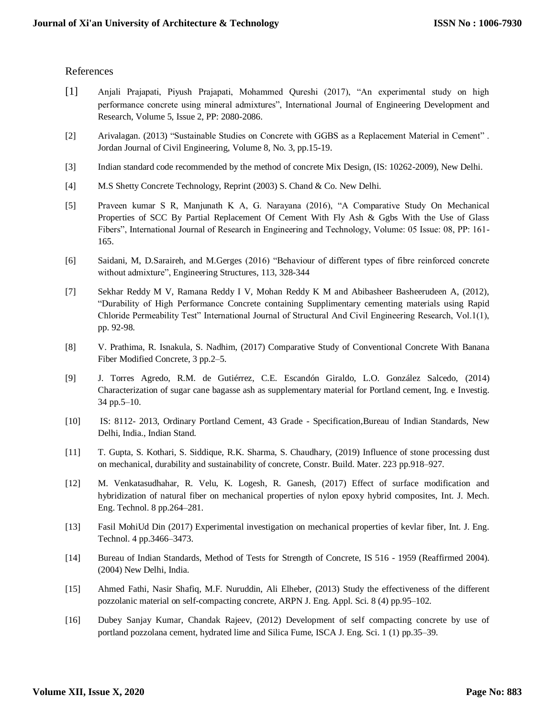## References

- [1] Anjali Prajapati, Piyush Prajapati, Mohammed Qureshi (2017), "An experimental study on high performance concrete using mineral admixtures", International Journal of Engineering Development and Research, Volume 5, Issue 2, PP: 2080-2086.
- [2] Arivalagan. (2013) "Sustainable Studies on Concrete with GGBS as a Replacement Material in Cement" . Jordan Journal of Civil Engineering, Volume 8, No. 3, pp.15-19.
- [3] Indian standard code recommended by the method of concrete Mix Design, (IS: 10262-2009), New Delhi.
- [4] M.S Shetty Concrete Technology, Reprint (2003) S. Chand & Co. New Delhi.
- [5] Praveen kumar S R, Manjunath K A, G. Narayana (2016), "A Comparative Study On Mechanical Properties of SCC By Partial Replacement Of Cement With Fly Ash & Ggbs With the Use of Glass Fibers", International Journal of Research in Engineering and Technology, Volume: 05 Issue: 08, PP: 161- 165.
- [6] Saidani, M, D.Saraireh, and M.Gerges (2016) "Behaviour of different types of fibre reinforced concrete without admixture", Engineering Structures, 113, 328-344
- [7] Sekhar Reddy M V, Ramana Reddy I V, Mohan Reddy K M and Abibasheer Basheerudeen A, (2012), "Durability of High Performance Concrete containing Supplimentary cementing materials using Rapid Chloride Permeability Test" International Journal of Structural And Civil Engineering Research, Vol.1(1), pp. 92-98.
- [8] V. Prathima, R. Isnakula, S. Nadhim, (2017) Comparative Study of Conventional Concrete With Banana Fiber Modified Concrete, 3 pp.2–5.
- [9] J. Torres Agredo, R.M. de Gutiérrez, C.E. Escandón Giraldo, L.O. González Salcedo, (2014) Characterization of sugar cane bagasse ash as supplementary material for Portland cement, Ing. e Investig. 34 pp.5–10.
- [10] IS: 8112- 2013, Ordinary Portland Cement, 43 Grade Specification,Bureau of Indian Standards, New Delhi, India., Indian Stand.
- [11] T. Gupta, S. Kothari, S. Siddique, R.K. Sharma, S. Chaudhary, (2019) Influence of stone processing dust on mechanical, durability and sustainability of concrete, Constr. Build. Mater. 223 pp.918–927.
- [12] M. Venkatasudhahar, R. Velu, K. Logesh, R. Ganesh, (2017) Effect of surface modification and hybridization of natural fiber on mechanical properties of nylon epoxy hybrid composites, Int. J. Mech. Eng. Technol. 8 pp.264–281.
- [13] Fasil MohiUd Din (2017) Experimental investigation on mechanical properties of kevlar fiber, Int. J. Eng. Technol. 4 pp.3466–3473.
- [14] Bureau of Indian Standards, Method of Tests for Strength of Concrete, IS 516 1959 (Reaffirmed 2004). (2004) New Delhi, India.
- [15] Ahmed Fathi, Nasir Shafiq, M.F. Nuruddin, Ali Elheber, (2013) Study the effectiveness of the different pozzolanic material on self-compacting concrete, ARPN J. Eng. Appl. Sci. 8 (4) pp.95–102.
- [16] Dubey Sanjay Kumar, Chandak Rajeev, (2012) Development of self compacting concrete by use of portland pozzolana cement, hydrated lime and Silica Fume, ISCA J. Eng. Sci. 1 (1) pp.35–39.